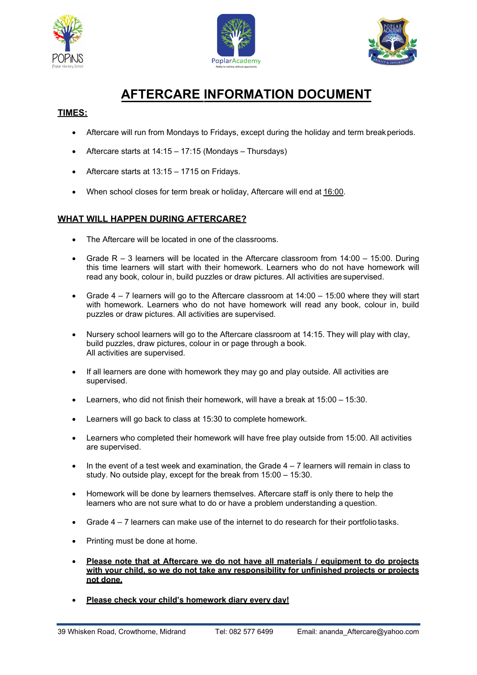





# **AFTERCARE INFORMATION DOCUMENT**

## **TIMES:**

- Aftercare will run from Mondays to Fridays, except during the holiday and term breakperiods.
- Aftercare starts at 14:15 17:15 (Mondays Thursdays)
- Aftercare starts at 13:15 1715 on Fridays.
- When school closes for term break or holiday, Aftercare will end at 16:00.

## **WHAT WILL HAPPEN DURING AFTERCARE?**

- The Aftercare will be located in one of the classrooms.
- Grade  $R 3$  learners will be located in the Aftercare classroom from  $14:00 15:00$ . During this time learners will start with their homework. Learners who do not have homework will read any book, colour in, build puzzles or draw pictures. All activities are supervised.
- Grade 4 7 learners will go to the Aftercare classroom at 14:00 15:00 where they will start with homework. Learners who do not have homework will read any book, colour in, build puzzles or draw pictures. All activities are supervised.
- Nursery school learners will go to the Aftercare classroom at 14:15. They will play with clay, build puzzles, draw pictures, colour in or page through a book. All activities are supervised.
- If all learners are done with homework they may go and play outside. All activities are supervised.
- Learners, who did not finish their homework, will have a break at 15:00 15:30.
- Learners will go back to class at 15:30 to complete homework.
- Learners who completed their homework will have free play outside from 15:00. All activities are supervised.
- $\bullet$  In the event of a test week and examination, the Grade  $4-7$  learners will remain in class to study. No outside play, except for the break from 15:00 – 15:30.
- Homework will be done by learners themselves. Aftercare staff is only there to help the learners who are not sure what to do or have a problem understanding a question.
- Grade 4 7 learners can make use of the internet to do research for their portfolio tasks.
- Printing must be done at home.
- **Please note that at Aftercare we do not have all materials / equipment to do projects with your child, so we do not take any responsibility for unfinished projects or projects not done.**
- **Please check your child's homework diary every day!**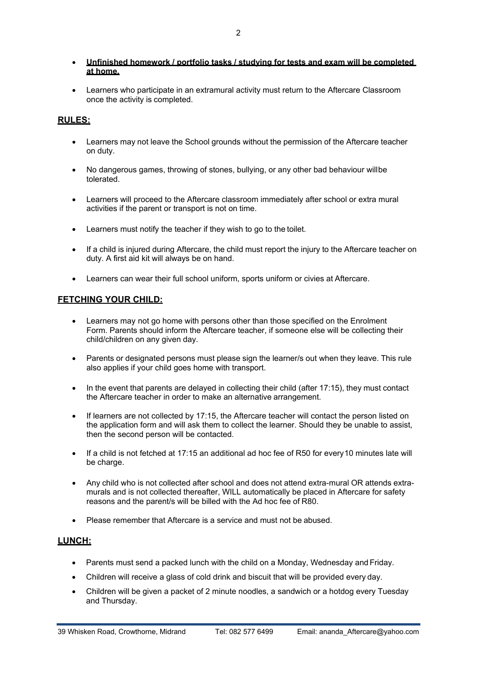- **Unfinished homework / portfolio tasks / studying for tests and exam will be completed at home.**
- Learners who participate in an extramural activity must return to the Aftercare Classroom once the activity is completed.

## **RULES:**

- Learners may not leave the School grounds without the permission of the Aftercare teacher on duty.
- No dangerous games, throwing of stones, bullying, or any other bad behaviour willbe tolerated.
- Learners will proceed to the Aftercare classroom immediately after school or extra mural activities if the parent or transport is not on time.
- Learners must notify the teacher if they wish to go to the toilet.
- If a child is injured during Aftercare, the child must report the injury to the Aftercare teacher on duty. A first aid kit will always be on hand.
- Learners can wear their full school uniform, sports uniform or civies at Aftercare.

## **FETCHING YOUR CHILD:**

- Learners may not go home with persons other than those specified on the Enrolment Form. Parents should inform the Aftercare teacher, if someone else will be collecting their child/children on any given day.
- Parents or designated persons must please sign the learner/s out when they leave. This rule also applies if your child goes home with transport.
- In the event that parents are delayed in collecting their child (after 17:15), they must contact the Aftercare teacher in order to make an alternative arrangement.
- If learners are not collected by 17:15, the Aftercare teacher will contact the person listed on the application form and will ask them to collect the learner. Should they be unable to assist, then the second person will be contacted.
- If a child is not fetched at 17:15 an additional ad hoc fee of R50 for every10 minutes late will be charge.
- Any child who is not collected after school and does not attend extra-mural OR attends extramurals and is not collected thereafter, WILL automatically be placed in Aftercare for safety reasons and the parent/s will be billed with the Ad hoc fee of R80.
- Please remember that Aftercare is a service and must not be abused.

## **LUNCH:**

- Parents must send a packed lunch with the child on a Monday, Wednesday and Friday.
- Children will receive a glass of cold drink and biscuit that will be provided every day.
- Children will be given a packet of 2 minute noodles, a sandwich or a hotdog every Tuesday and Thursday.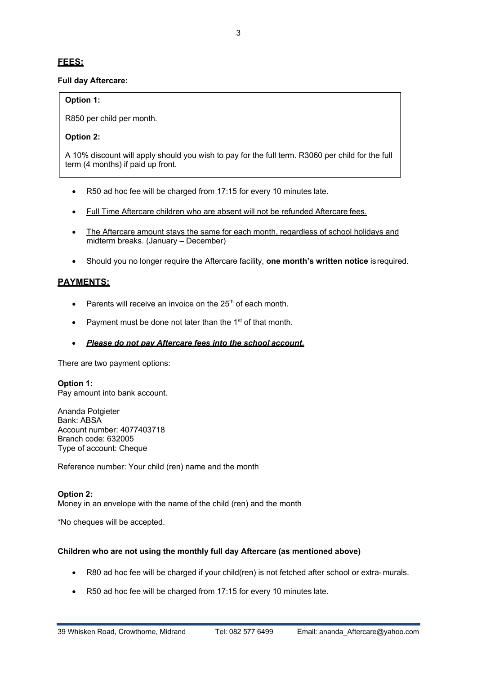## **FEES:**

#### **Full day Aftercare:**

#### **Option 1:**

R850 per child per month.

#### **Option 2:**

A 10% discount will apply should you wish to pay for the full term. R3060 per child for the full term (4 months) if paid up front.

- R50 ad hoc fee will be charged from 17:15 for every 10 minutes late.
- Full Time Aftercare children who are absent will not be refunded Aftercare fees.
- The Aftercare amount stays the same for each month, regardless of school holidays and midterm breaks. (January – December)
- Should you no longer require the Aftercare facility, **one month's written notice** isrequired.

## **PAYMENTS:**

- Parents will receive an invoice on the  $25<sup>th</sup>$  of each month.
- Payment must be done not later than the  $1<sup>st</sup>$  of that month.
- *Please do not pay Aftercare fees into the school account***.**

There are two payment options:

**Option 1:** Pay amount into bank account.

Ananda Potgieter Bank: ABSA Account number: 4077403718 Branch code: 632005 Type of account: Cheque

Reference number: Your child (ren) name and the month

#### **Option 2:**

Money in an envelope with the name of the child (ren) and the month

\*No cheques will be accepted.

#### **Children who are not using the monthly full day Aftercare (as mentioned above)**

- R80 ad hoc fee will be charged if your child(ren) is not fetched after school or extra- murals.
- R50 ad hoc fee will be charged from 17:15 for every 10 minutes late.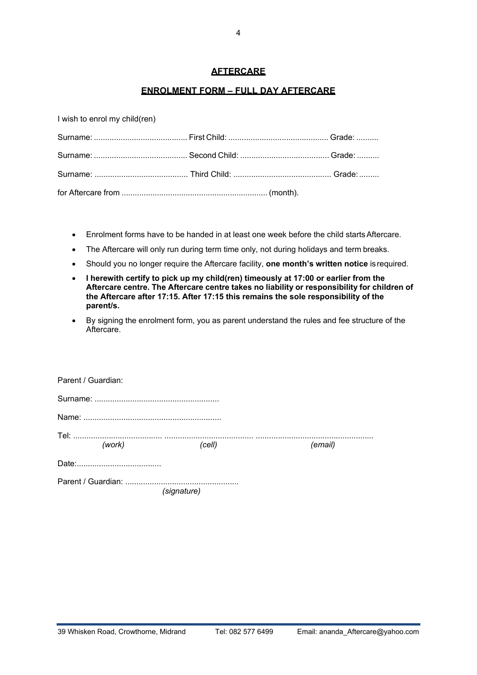#### **AFTERCARE**

### **ENROLMENT FORM – FULL DAY AFTERCARE**

I wish to enrol my child(ren)

- Enrolment forms have to be handed in at least one week before the child startsAftercare.
- The Aftercare will only run during term time only, not during holidays and term breaks.
- Should you no longer require the Aftercare facility, **one month's written notice** isrequired.
- **I herewith certify to pick up my child(ren) timeously at 17:00 or earlier from the Aftercare centre. The Aftercare centre takes no liability or responsibility for children of the Aftercare after 17:15. After 17:15 this remains the sole responsibility of the parent/s.**
- By signing the enrolment form, you as parent understand the rules and fee structure of the Aftercare.

| Parent / Guardian: |        |             |         |
|--------------------|--------|-------------|---------|
|                    |        |             |         |
|                    |        |             |         |
|                    | (work) | (cell)      | (email) |
|                    |        |             |         |
|                    |        | (signature) |         |